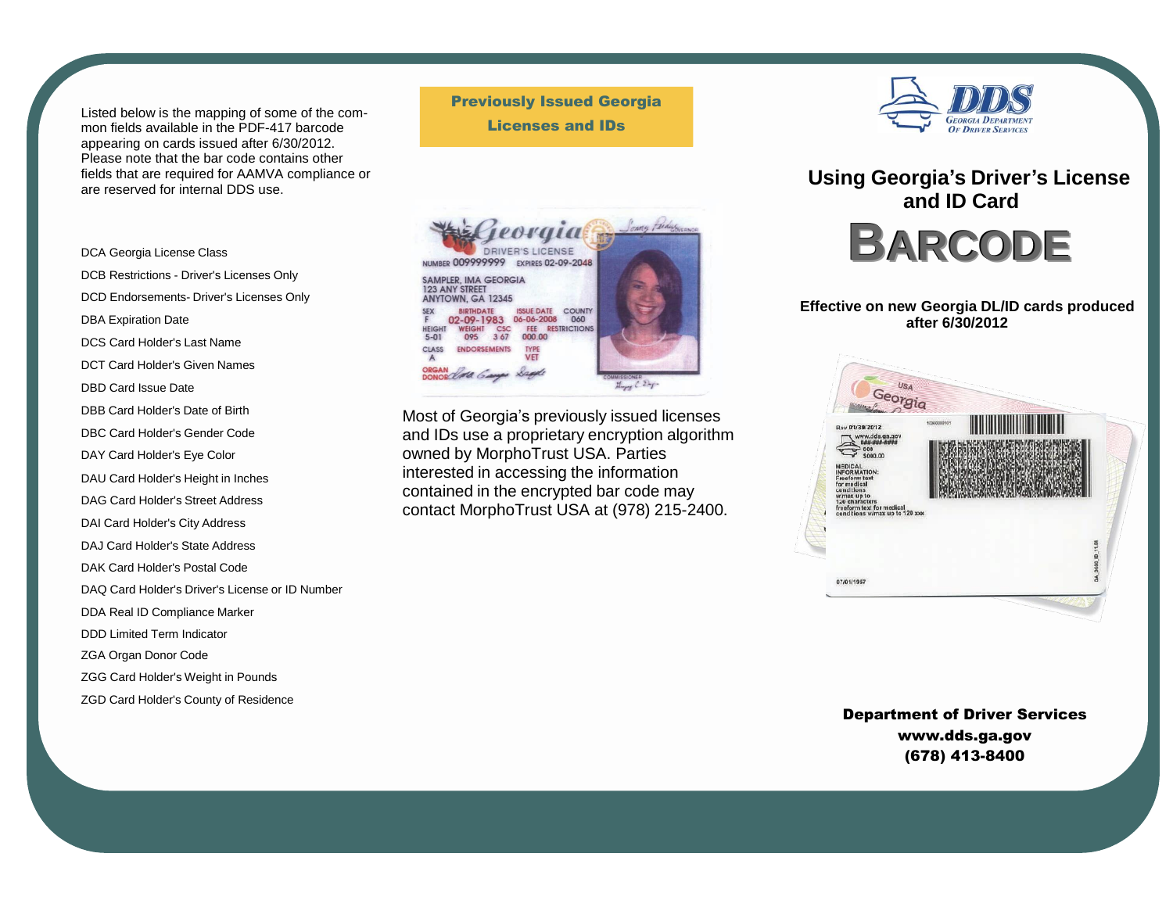Listed below is the mapping of some of the common fields available in the PDF-417 barcode appearing on cards issued after 6/30/2012. Please note that the bar code contains other fields that are required for AAMVA compliance or are reserved for internal DDS use.

DCA Georgia License Class DCB Restrictions - Driver's Licenses Only DCD Endorsements- Driver's Licenses Only DBA Expiration Date DCS Card Holder's Last Name DCT Card Holder's Given Names DBD Card Issue Date DBB Card Holder's Date of Birth DBC Card Holder's Gender Code DAY Card Holder's Eye Color DAU Card Holder's Height in Inches DAG Card Holder's Street Address DAI Card Holder's City Address DAJ Card Holder's State Address DAK Card Holder's Postal Code DAQ Card Holder's Driver's License or ID Number DDA Real ID Compliance Marker DDD Limited Term Indicator ZGA Organ Donor Code ZGG Card Holder's Weight in Pounds

ZGD Card Holder's County of Residence

Previously Issued Georgia Licenses and IDs



Most of Georgia's previously issued licenses and IDs use a proprietary encryption algorithm owned by MorphoTrust USA. Parties interested in accessing the information contained in the encrypted bar code may contact MorphoTrust USA at (978) 215-2400.



**Using Georgia's Driver's License and ID Card BARCODE**

## **Effective on new Georgia DL/ID cards produced after 6/30/2012**



Department of Driver Service[s](http://www.dds.ga.gov/) [www.dds.ga.gov](http://www.dds.ga.gov/) (678) 413-8400